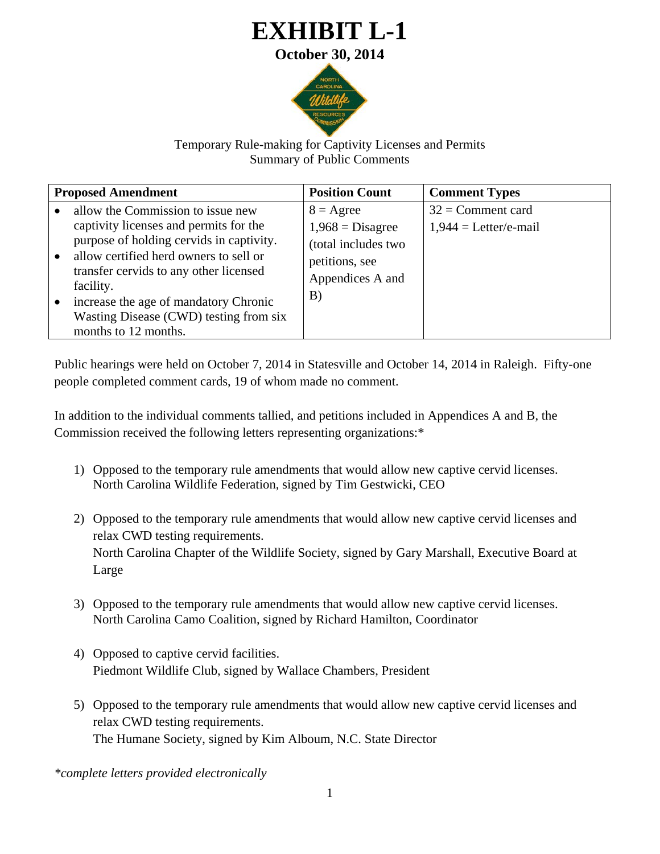## **EXHIBIT L-1 October 30, 2014**



## Temporary Rule-making for Captivity Licenses and Permits Summary of Public Comments

| <b>Proposed Amendment</b>                                                                                                                                                                                                                                                                                                           | <b>Position Count</b>                                                                                              | <b>Comment Types</b>                                  |
|-------------------------------------------------------------------------------------------------------------------------------------------------------------------------------------------------------------------------------------------------------------------------------------------------------------------------------------|--------------------------------------------------------------------------------------------------------------------|-------------------------------------------------------|
| allow the Commission to issue new<br>captivity licenses and permits for the<br>purpose of holding cervids in captivity.<br>allow certified herd owners to sell or<br>transfer cervids to any other licensed<br>facility.<br>increase the age of mandatory Chronic<br>Wasting Disease (CWD) testing from six<br>months to 12 months. | $8 = \text{Agree}$<br>$1,968 = \text{Disagree}$<br>(total includes two<br>petitions, see<br>Appendices A and<br>B) | $32 =$ Comment card<br>$1,944 = \text{Letter/e-mail}$ |

Public hearings were held on October 7, 2014 in Statesville and October 14, 2014 in Raleigh. Fifty-one people completed comment cards, 19 of whom made no comment.

In addition to the individual comments tallied, and petitions included in Appendices A and B, the Commission received the following letters representing organizations:\*

- 1) Opposed to the temporary rule amendments that would allow new captive cervid licenses. North Carolina Wildlife Federation, signed by Tim Gestwicki, CEO
- 2) Opposed to the temporary rule amendments that would allow new captive cervid licenses and relax CWD testing requirements. North Carolina Chapter of the Wildlife Society, signed by Gary Marshall, Executive Board at Large
- 3) Opposed to the temporary rule amendments that would allow new captive cervid licenses. North Carolina Camo Coalition, signed by Richard Hamilton, Coordinator
- 4) Opposed to captive cervid facilities. Piedmont Wildlife Club, signed by Wallace Chambers, President
- 5) Opposed to the temporary rule amendments that would allow new captive cervid licenses and relax CWD testing requirements. The Humane Society, signed by Kim Alboum, N.C. State Director

*\*complete letters provided electronically*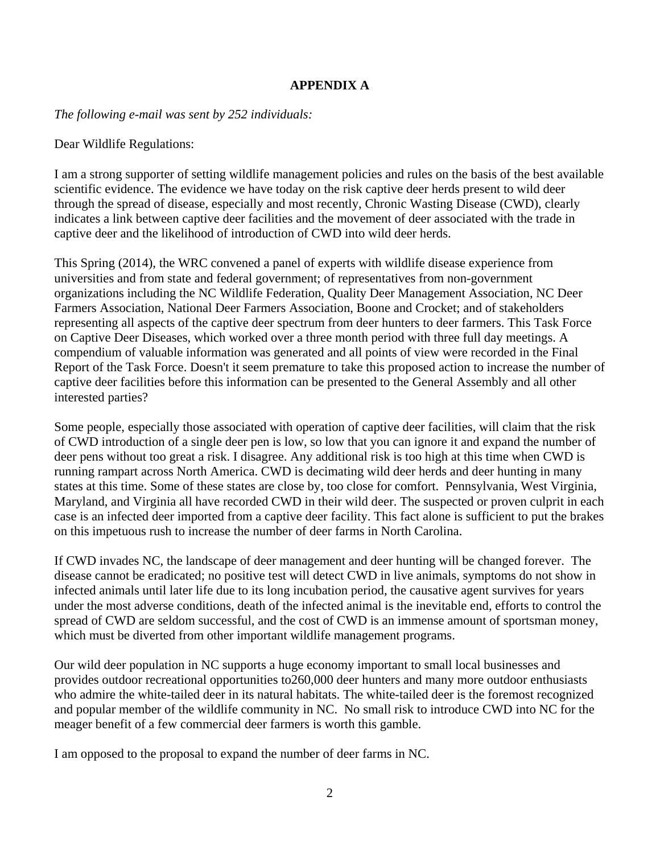## **APPENDIX A**

*The following e-mail was sent by 252 individuals:* 

Dear Wildlife Regulations:

I am a strong supporter of setting wildlife management policies and rules on the basis of the best available scientific evidence. The evidence we have today on the risk captive deer herds present to wild deer through the spread of disease, especially and most recently, Chronic Wasting Disease (CWD), clearly indicates a link between captive deer facilities and the movement of deer associated with the trade in captive deer and the likelihood of introduction of CWD into wild deer herds.

This Spring (2014), the WRC convened a panel of experts with wildlife disease experience from universities and from state and federal government; of representatives from non-government organizations including the NC Wildlife Federation, Quality Deer Management Association, NC Deer Farmers Association, National Deer Farmers Association, Boone and Crocket; and of stakeholders representing all aspects of the captive deer spectrum from deer hunters to deer farmers. This Task Force on Captive Deer Diseases, which worked over a three month period with three full day meetings. A compendium of valuable information was generated and all points of view were recorded in the Final Report of the Task Force. Doesn't it seem premature to take this proposed action to increase the number of captive deer facilities before this information can be presented to the General Assembly and all other interested parties?

Some people, especially those associated with operation of captive deer facilities, will claim that the risk of CWD introduction of a single deer pen is low, so low that you can ignore it and expand the number of deer pens without too great a risk. I disagree. Any additional risk is too high at this time when CWD is running rampart across North America. CWD is decimating wild deer herds and deer hunting in many states at this time. Some of these states are close by, too close for comfort. Pennsylvania, West Virginia, Maryland, and Virginia all have recorded CWD in their wild deer. The suspected or proven culprit in each case is an infected deer imported from a captive deer facility. This fact alone is sufficient to put the brakes on this impetuous rush to increase the number of deer farms in North Carolina.

If CWD invades NC, the landscape of deer management and deer hunting will be changed forever. The disease cannot be eradicated; no positive test will detect CWD in live animals, symptoms do not show in infected animals until later life due to its long incubation period, the causative agent survives for years under the most adverse conditions, death of the infected animal is the inevitable end, efforts to control the spread of CWD are seldom successful, and the cost of CWD is an immense amount of sportsman money, which must be diverted from other important wildlife management programs.

Our wild deer population in NC supports a huge economy important to small local businesses and provides outdoor recreational opportunities to260,000 deer hunters and many more outdoor enthusiasts who admire the white-tailed deer in its natural habitats. The white-tailed deer is the foremost recognized and popular member of the wildlife community in NC. No small risk to introduce CWD into NC for the meager benefit of a few commercial deer farmers is worth this gamble.

I am opposed to the proposal to expand the number of deer farms in NC.